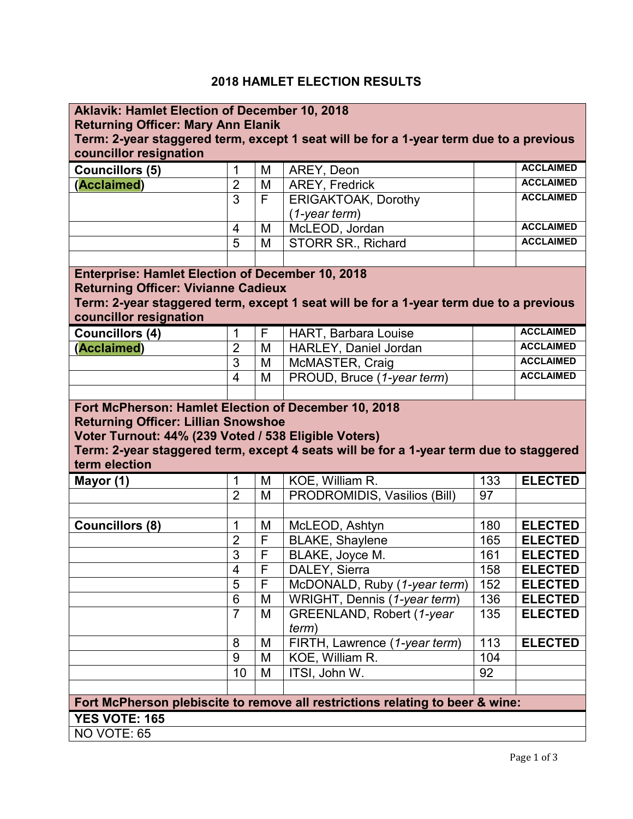## **2018 HAMLET ELECTION RESULTS**

| <b>Aklavik: Hamlet Election of December 10, 2018</b>                                   |                |              |                                                                                        |     |                  |  |  |  |
|----------------------------------------------------------------------------------------|----------------|--------------|----------------------------------------------------------------------------------------|-----|------------------|--|--|--|
| <b>Returning Officer: Mary Ann Elanik</b>                                              |                |              |                                                                                        |     |                  |  |  |  |
| Term: 2-year staggered term, except 1 seat will be for a 1-year term due to a previous |                |              |                                                                                        |     |                  |  |  |  |
| councillor resignation                                                                 |                |              |                                                                                        |     |                  |  |  |  |
| <b>Councillors (5)</b>                                                                 | 1              | M            | AREY, Deon                                                                             |     | <b>ACCLAIMED</b> |  |  |  |
| (Acclaimed)                                                                            | $\overline{2}$ | M            | <b>AREY, Fredrick</b>                                                                  |     | <b>ACCLAIMED</b> |  |  |  |
|                                                                                        | 3              | F            | <b>ERIGAKTOAK, Dorothy</b>                                                             |     | <b>ACCLAIMED</b> |  |  |  |
|                                                                                        |                |              | $(1-year term)$                                                                        |     |                  |  |  |  |
|                                                                                        | $\overline{4}$ | M            | McLEOD, Jordan                                                                         |     | <b>ACCLAIMED</b> |  |  |  |
|                                                                                        | 5              | M            | <b>STORR SR., Richard</b>                                                              |     | <b>ACCLAIMED</b> |  |  |  |
|                                                                                        |                |              |                                                                                        |     |                  |  |  |  |
| <b>Enterprise: Hamlet Election of December 10, 2018</b>                                |                |              |                                                                                        |     |                  |  |  |  |
| <b>Returning Officer: Vivianne Cadieux</b>                                             |                |              |                                                                                        |     |                  |  |  |  |
|                                                                                        |                |              | Term: 2-year staggered term, except 1 seat will be for a 1-year term due to a previous |     |                  |  |  |  |
| councillor resignation                                                                 |                |              |                                                                                        |     |                  |  |  |  |
| <b>Councillors (4)</b>                                                                 | 1              | $\mathsf{F}$ | <b>HART, Barbara Louise</b>                                                            |     | <b>ACCLAIMED</b> |  |  |  |
| (Acclaimed)                                                                            | $\overline{2}$ | M            | HARLEY, Daniel Jordan                                                                  |     | <b>ACCLAIMED</b> |  |  |  |
|                                                                                        | 3              | M            | McMASTER, Craig                                                                        |     | <b>ACCLAIMED</b> |  |  |  |
|                                                                                        | $\overline{4}$ | M            | PROUD, Bruce (1-year term)                                                             |     | <b>ACCLAIMED</b> |  |  |  |
|                                                                                        |                |              |                                                                                        |     |                  |  |  |  |
| Fort McPherson: Hamlet Election of December 10, 2018                                   |                |              |                                                                                        |     |                  |  |  |  |
| <b>Returning Officer: Lillian Snowshoe</b>                                             |                |              |                                                                                        |     |                  |  |  |  |
|                                                                                        |                |              |                                                                                        |     |                  |  |  |  |
| Voter Turnout: 44% (239 Voted / 538 Eligible Voters)                                   |                |              |                                                                                        |     |                  |  |  |  |
|                                                                                        |                |              | Term: 2-year staggered term, except 4 seats will be for a 1-year term due to staggered |     |                  |  |  |  |
| term election                                                                          |                |              |                                                                                        |     |                  |  |  |  |
| Mayor (1)                                                                              | $\mathbf 1$    | M            | KOE, William R.                                                                        | 133 | <b>ELECTED</b>   |  |  |  |
|                                                                                        | $\overline{2}$ | M            | PRODROMIDIS, Vasilios (Bill)                                                           | 97  |                  |  |  |  |
|                                                                                        |                |              |                                                                                        |     |                  |  |  |  |
| Councillors (8)                                                                        | 1              | M            | McLEOD, Ashtyn                                                                         | 180 | <b>ELECTED</b>   |  |  |  |
|                                                                                        | $\overline{2}$ | F            | <b>BLAKE, Shaylene</b>                                                                 | 165 | <b>ELECTED</b>   |  |  |  |
|                                                                                        | $\overline{3}$ | F            | BLAKE, Joyce M.                                                                        | 161 | <b>ELECTED</b>   |  |  |  |
|                                                                                        | 4              | F            | DALEY, Sierra                                                                          | 158 | <b>ELECTED</b>   |  |  |  |
|                                                                                        | 5              | F            | McDONALD, Ruby (1-year term)                                                           | 152 | <b>ELECTED</b>   |  |  |  |
|                                                                                        | 6              | M            | WRIGHT, Dennis (1-year term)                                                           | 136 | <b>ELECTED</b>   |  |  |  |
|                                                                                        | $\overline{7}$ | M            | GREENLAND, Robert (1-year                                                              | 135 | <b>ELECTED</b>   |  |  |  |
|                                                                                        |                |              | term)                                                                                  |     |                  |  |  |  |
|                                                                                        | 8              | M            | FIRTH, Lawrence (1-year term)                                                          | 113 | <b>ELECTED</b>   |  |  |  |
|                                                                                        | 9              | M            | KOE, William R.                                                                        | 104 |                  |  |  |  |
|                                                                                        | 10             | M            | ITSI, John W.                                                                          | 92  |                  |  |  |  |
|                                                                                        |                |              |                                                                                        |     |                  |  |  |  |
|                                                                                        |                |              | Fort McPherson plebiscite to remove all restrictions relating to beer & wine:          |     |                  |  |  |  |
| YES VOTE: 165                                                                          |                |              |                                                                                        |     |                  |  |  |  |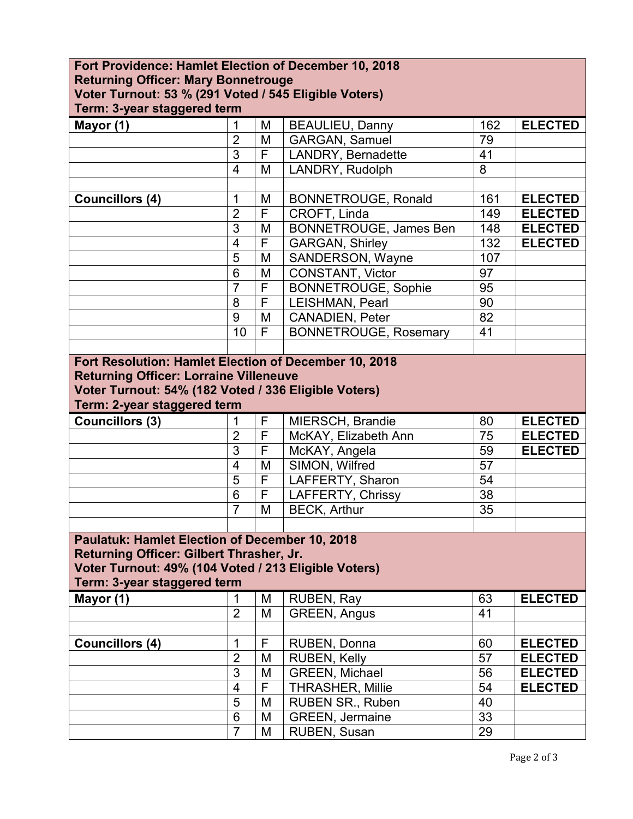| Fort Providence: Hamlet Election of December 10, 2018 |                 |   |                               |     |                |  |  |  |
|-------------------------------------------------------|-----------------|---|-------------------------------|-----|----------------|--|--|--|
| <b>Returning Officer: Mary Bonnetrouge</b>            |                 |   |                               |     |                |  |  |  |
| Voter Turnout: 53 % (291 Voted / 545 Eligible Voters) |                 |   |                               |     |                |  |  |  |
| Term: 3-year staggered term                           |                 |   |                               |     |                |  |  |  |
| Mayor (1)                                             | 1               | M | <b>BEAULIEU, Danny</b>        | 162 | <b>ELECTED</b> |  |  |  |
|                                                       | $\overline{2}$  | M | <b>GARGAN, Samuel</b>         | 79  |                |  |  |  |
|                                                       | $\overline{3}$  | F | LANDRY, Bernadette            | 41  |                |  |  |  |
|                                                       | $\overline{4}$  | M | LANDRY, Rudolph               | 8   |                |  |  |  |
|                                                       |                 |   |                               |     |                |  |  |  |
| <b>Councillors (4)</b>                                | 1               | M | <b>BONNETROUGE, Ronald</b>    | 161 | <b>ELECTED</b> |  |  |  |
|                                                       | $\overline{2}$  | F | CROFT, Linda                  | 149 | <b>ELECTED</b> |  |  |  |
|                                                       | 3               | M | <b>BONNETROUGE, James Ben</b> | 148 | <b>ELECTED</b> |  |  |  |
|                                                       | $\overline{4}$  | F | <b>GARGAN, Shirley</b>        | 132 | <b>ELECTED</b> |  |  |  |
|                                                       | 5               | M | SANDERSON, Wayne              | 107 |                |  |  |  |
|                                                       | $6\phantom{1}6$ | M | CONSTANT, Victor              | 97  |                |  |  |  |
|                                                       | $\overline{7}$  | F | <b>BONNETROUGE, Sophie</b>    | 95  |                |  |  |  |
|                                                       | 8               | F | <b>LEISHMAN, Pearl</b>        | 90  |                |  |  |  |
|                                                       | 9               | M | CANADIEN, Peter               | 82  |                |  |  |  |
|                                                       | 10              | F | <b>BONNETROUGE, Rosemary</b>  | 41  |                |  |  |  |
|                                                       |                 |   |                               |     |                |  |  |  |
| Fort Resolution: Hamlet Election of December 10, 2018 |                 |   |                               |     |                |  |  |  |
| <b>Returning Officer: Lorraine Villeneuve</b>         |                 |   |                               |     |                |  |  |  |
| Voter Turnout: 54% (182 Voted / 336 Eligible Voters)  |                 |   |                               |     |                |  |  |  |
| Term: 2-year staggered term                           |                 |   |                               |     |                |  |  |  |
| Councillors (3)                                       | 1               | F | MIERSCH, Brandie              | 80  | <b>ELECTED</b> |  |  |  |
|                                                       | $\overline{2}$  | F | McKAY, Elizabeth Ann          | 75  | <b>ELECTED</b> |  |  |  |
|                                                       | 3               | F | McKAY, Angela                 | 59  | <b>ELECTED</b> |  |  |  |
|                                                       | $\overline{4}$  | M | SIMON, Wilfred                | 57  |                |  |  |  |
|                                                       | $\overline{5}$  | F | LAFFERTY, Sharon              | 54  |                |  |  |  |
|                                                       | $6\phantom{1}6$ | F | <b>LAFFERTY, Chrissy</b>      | 38  |                |  |  |  |
|                                                       | $\overline{7}$  | M | <b>BECK, Arthur</b>           | 35  |                |  |  |  |
|                                                       |                 |   |                               |     |                |  |  |  |
| <b>Paulatuk: Hamlet Election of December 10, 2018</b> |                 |   |                               |     |                |  |  |  |
| Returning Officer: Gilbert Thrasher, Jr.              |                 |   |                               |     |                |  |  |  |
| Voter Turnout: 49% (104 Voted / 213 Eligible Voters)  |                 |   |                               |     |                |  |  |  |
| Term: 3-year staggered term                           |                 |   |                               |     |                |  |  |  |
| Mayor (1)                                             | 1               | M | RUBEN, Ray                    | 63  | <b>ELECTED</b> |  |  |  |
|                                                       | $\overline{2}$  | M | <b>GREEN, Angus</b>           | 41  |                |  |  |  |
|                                                       |                 |   |                               |     |                |  |  |  |
| <b>Councillors (4)</b>                                | 1               | F | RUBEN, Donna                  | 60  | <b>ELECTED</b> |  |  |  |
|                                                       | $\overline{2}$  | M | <b>RUBEN, Kelly</b>           | 57  | <b>ELECTED</b> |  |  |  |
|                                                       | $\overline{3}$  | M | <b>GREEN, Michael</b>         | 56  | <b>ELECTED</b> |  |  |  |
|                                                       | $\overline{4}$  | F | <b>THRASHER, Millie</b>       | 54  | <b>ELECTED</b> |  |  |  |
|                                                       | 5               | M | <b>RUBEN SR., Ruben</b>       | 40  |                |  |  |  |
|                                                       |                 |   |                               |     |                |  |  |  |
|                                                       | 6               | M | <b>GREEN, Jermaine</b>        | 33  |                |  |  |  |